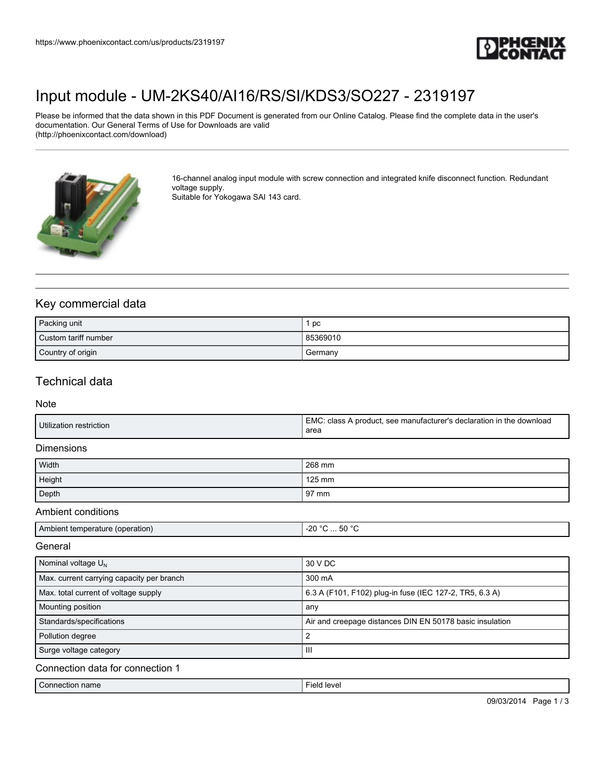

# [Input module - UM-2KS40/AI16/RS/SI/KDS3/SO227 - 2319197](https://www.phoenixcontact.com/us/products/2319197)

Please be informed that the data shown in this PDF Document is generated from our Online Catalog. Please find the complete data in the user's documentation. Our General Terms of Use for Downloads are valid (http://phoenixcontact.com/download)



16-channel analog input module with screw connection and integrated knife disconnect function. Redundant voltage supply.

Suitable for Yokogawa SAI 143 card.

## Key commercial data

| Packing unit         | pc       |
|----------------------|----------|
| Custom tariff number | 85369010 |
| Country of origin    | Germany  |

## Technical data

#### Note

| Utilization restriction | I EMC: class A product, see manufacturer's declaration in the download<br>area |
|-------------------------|--------------------------------------------------------------------------------|
|                         |                                                                                |

#### **Dimensions**

| Width  | 268 mm          |
|--------|-----------------|
| Height | 125 mm          |
| Depth  | $97 \text{ mm}$ |

#### Ambient conditions

| Ambient temperature (operation) | .50 °C<br>-20<br>-دن<br>$ -$ |
|---------------------------------|------------------------------|

#### **General**

| Nominal voltage $U_N$                     | 30 V DC                                                  |
|-------------------------------------------|----------------------------------------------------------|
| Max. current carrying capacity per branch | 300 mA                                                   |
| Max. total current of voltage supply      | 6.3 A (F101, F102) plug-in fuse (IEC 127-2, TR5, 6.3 A)  |
| Mounting position                         | any                                                      |
| Standards/specifications                  | Air and creepage distances DIN EN 50178 basic insulation |
| Pollution degree                          |                                                          |
| Surge voltage category                    | Ш                                                        |
| Connection data for connection 1          |                                                          |
| Connection name                           | Field level                                              |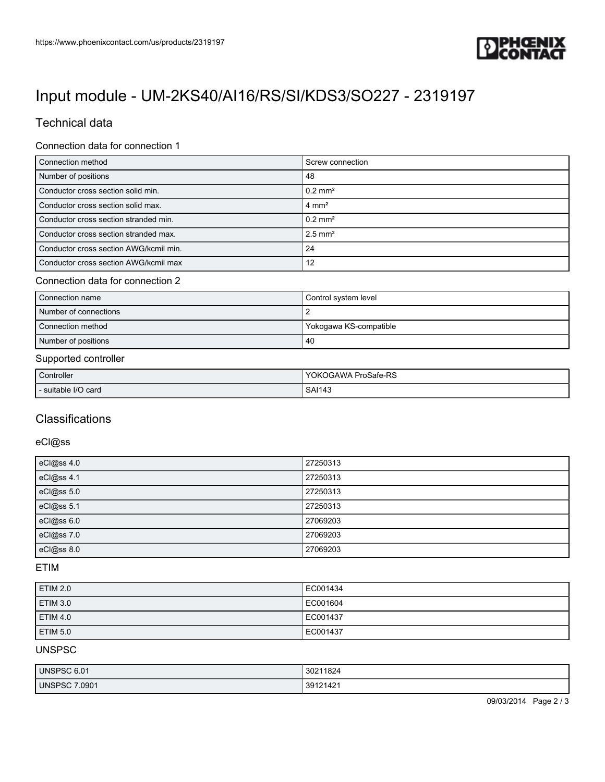

# [Input module - UM-2KS40/AI16/RS/SI/KDS3/SO227 - 2319197](https://www.phoenixcontact.com/us/products/2319197)

## Technical data

#### Connection data for connection 1

| Connection method                      | Screw connection      |
|----------------------------------------|-----------------------|
| Number of positions                    | 48                    |
| Conductor cross section solid min.     | $0.2$ mm <sup>2</sup> |
| Conductor cross section solid max.     | $4 \text{ mm}^2$      |
| Conductor cross section stranded min.  | $0.2 \text{ mm}^2$    |
| Conductor cross section stranded max.  | $2.5$ mm <sup>2</sup> |
| Conductor cross section AWG/kcmil min. | 24                    |
| Conductor cross section AWG/kcmil max  | 12                    |

#### Connection data for connection 2

| Connection name       | Control system level   |
|-----------------------|------------------------|
| Number of connections |                        |
| Connection method     | Yokogawa KS-compatible |
| Number of positions   | -40                    |

### Supported controller

| Controller        | ProSafe-RS<br>YOK,<br><b>OGAWA</b>           |
|-------------------|----------------------------------------------|
| suitable I/O card | <b>SAI143</b><br>$\sim$ $\sim$ $\sim$ $\sim$ |

### **Classifications**

#### eCl@ss

| eCl@ss 4.0 | 27250313 |
|------------|----------|
| eCl@ss 4.1 | 27250313 |
| eCl@ss 5.0 | 27250313 |
| eCl@ss 5.1 | 27250313 |
| eCl@ss 6.0 | 27069203 |
| eCl@ss 7.0 | 27069203 |
| eCl@ss 8.0 | 27069203 |

#### ETIM

| <b>ETIM 2.0</b> | EC001434 |
|-----------------|----------|
| ETIM 3.0        | EC001604 |
| ETIM 4.0        | EC001437 |
| <b>ETIM 5.0</b> | EC001437 |

### UNSPSC

| UNSPSC 6.01          | 30211824<br>$\sim$ |
|----------------------|--------------------|
| <b>UNSPSC 7.0901</b> | 21421<br>301'<br>ື |